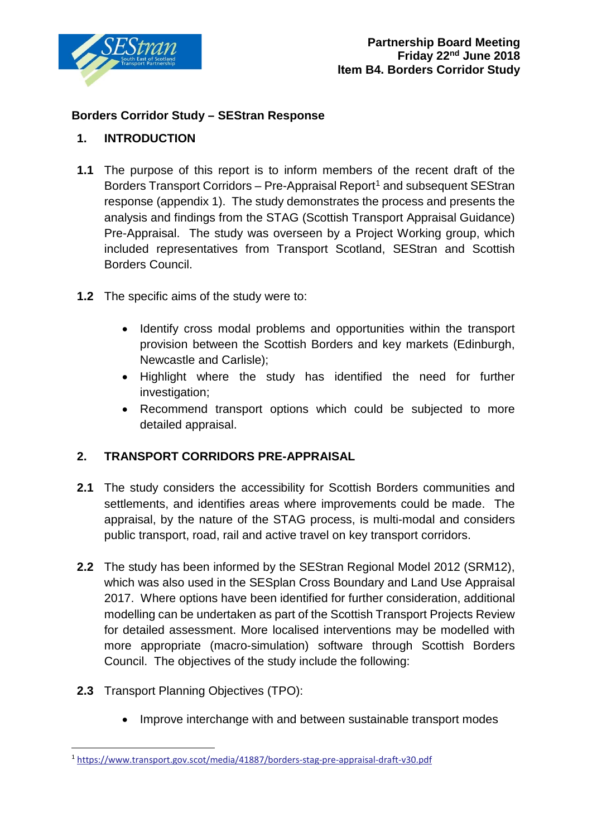

## **Borders Corridor Study – SEStran Response**

## **1. INTRODUCTION**

- **1.1** The purpose of this report is to inform members of the recent draft of the Borders Transport Corridors – Pre-Appraisal Report<sup>[1](#page-0-0)</sup> and subsequent SEStran response (appendix 1). The study demonstrates the process and presents the analysis and findings from the STAG (Scottish Transport Appraisal Guidance) Pre-Appraisal. The study was overseen by a Project Working group, which included representatives from Transport Scotland, SEStran and Scottish Borders Council.
- **1.2** The specific aims of the study were to:
	- Identify cross modal problems and opportunities within the transport provision between the Scottish Borders and key markets (Edinburgh, Newcastle and Carlisle);
	- Highlight where the study has identified the need for further investigation;
	- Recommend transport options which could be subjected to more detailed appraisal.

# **2. TRANSPORT CORRIDORS PRE-APPRAISAL**

- **2.1** The study considers the accessibility for Scottish Borders communities and settlements, and identifies areas where improvements could be made. The appraisal, by the nature of the STAG process, is multi-modal and considers public transport, road, rail and active travel on key transport corridors.
- **2.2** The study has been informed by the SEStran Regional Model 2012 (SRM12), which was also used in the SESplan Cross Boundary and Land Use Appraisal 2017. Where options have been identified for further consideration, additional modelling can be undertaken as part of the Scottish Transport Projects Review for detailed assessment. More localised interventions may be modelled with more appropriate (macro-simulation) software through Scottish Borders Council. The objectives of the study include the following:
- **2.3** Transport Planning Objectives (TPO):
	- Improve interchange with and between sustainable transport modes

<span id="page-0-0"></span><sup>1</sup> <https://www.transport.gov.scot/media/41887/borders-stag-pre-appraisal-draft-v30.pdf>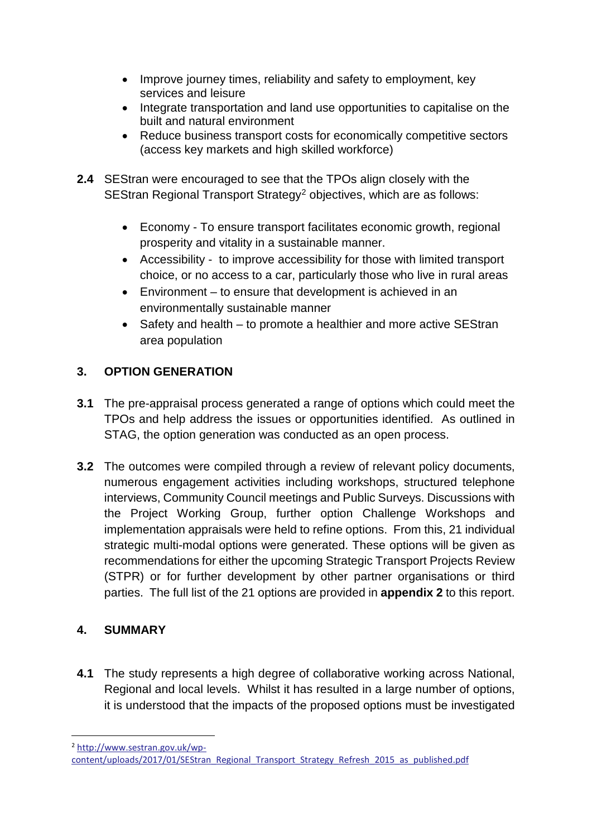- Improve journey times, reliability and safety to employment, key services and leisure
- Integrate transportation and land use opportunities to capitalise on the built and natural environment
- Reduce business transport costs for economically competitive sectors (access key markets and high skilled workforce)
- **2.4** SEStran were encouraged to see that the TPOs align closely with the SEStran Regional Transport Strategy<sup>2</sup> objectives, which are as follows:
	- Economy To ensure transport facilitates economic growth, regional prosperity and vitality in a sustainable manner.
	- Accessibility to improve accessibility for those with limited transport choice, or no access to a car, particularly those who live in rural areas
	- Environment to ensure that development is achieved in an environmentally sustainable manner
	- Safety and health to promote a healthier and more active SEStran area population

# **3. OPTION GENERATION**

- **3.1** The pre-appraisal process generated a range of options which could meet the TPOs and help address the issues or opportunities identified. As outlined in STAG, the option generation was conducted as an open process.
- **3.2** The outcomes were compiled through a review of relevant policy documents, numerous engagement activities including workshops, structured telephone interviews, Community Council meetings and Public Surveys. Discussions with the Project Working Group, further option Challenge Workshops and implementation appraisals were held to refine options. From this, 21 individual strategic multi-modal options were generated. These options will be given as recommendations for either the upcoming Strategic Transport Projects Review (STPR) or for further development by other partner organisations or third parties. The full list of the 21 options are provided in **appendix 2** to this report.

# **4. SUMMARY**

**4.1** The study represents a high degree of collaborative working across National, Regional and local levels. Whilst it has resulted in a large number of options, it is understood that the impacts of the proposed options must be investigated

<span id="page-1-0"></span><sup>2</sup> [http://www.sestran.gov.uk/wp-](http://www.sestran.gov.uk/wp-content/uploads/2017/01/SEStran_Regional_Transport_Strategy_Refresh_2015_as_published.pdf)

[content/uploads/2017/01/SEStran\\_Regional\\_Transport\\_Strategy\\_Refresh\\_2015\\_as\\_published.pdf](http://www.sestran.gov.uk/wp-content/uploads/2017/01/SEStran_Regional_Transport_Strategy_Refresh_2015_as_published.pdf)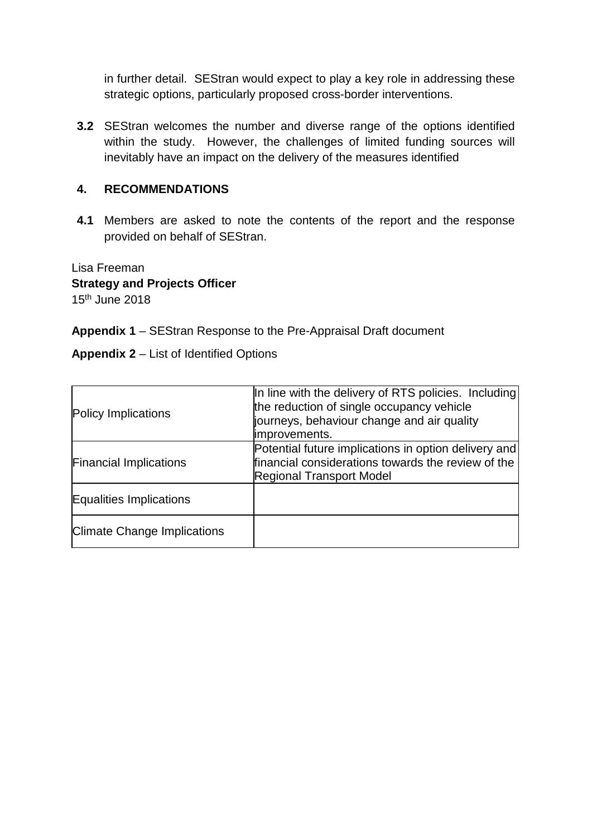in further detail. SEStran would expect to play a key role in addressing these strategic options, particularly proposed cross-border interventions.

**3.2** SEStran welcomes the number and diverse range of the options identified within the study. However, the challenges of limited funding sources will inevitably have an impact on the delivery of the measures identified

#### **4. RECOMMENDATIONS**

**4.1** Members are asked to note the contents of the report and the response provided on behalf of SEStran.

Lisa Freeman **Strategy and Projects Officer** 15th June 2018

**Appendix 1** – SEStran Response to the Pre-Appraisal Draft document

**Appendix 2** – List of Identified Options

| Policy Implications                | In line with the delivery of RTS policies. Including<br>the reduction of single occupancy vehicle<br>journeys, behaviour change and air quality<br>improvements. |
|------------------------------------|------------------------------------------------------------------------------------------------------------------------------------------------------------------|
| <b>Financial Implications</b>      | Potential future implications in option delivery and<br>financial considerations towards the review of the<br><b>Regional Transport Model</b>                    |
| Equalities Implications            |                                                                                                                                                                  |
| <b>Climate Change Implications</b> |                                                                                                                                                                  |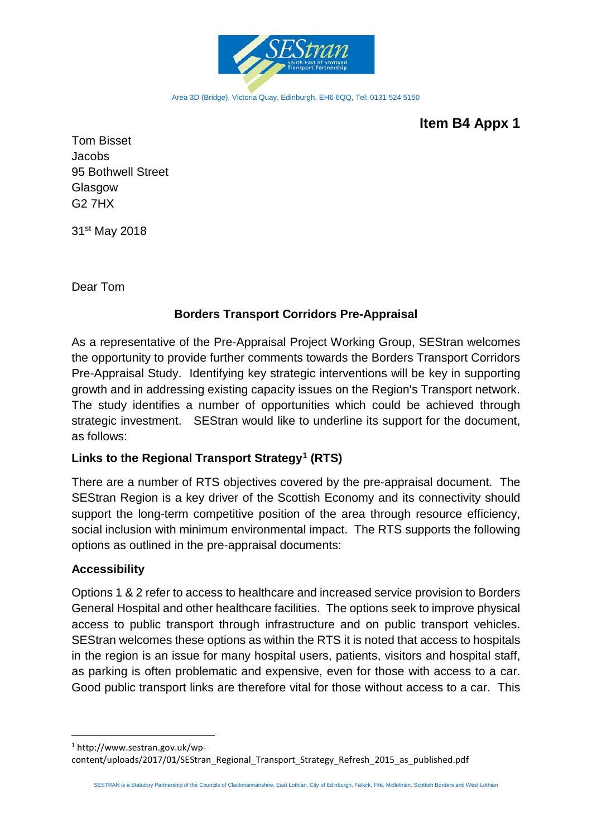

Area 3D (Bridge), Victoria Quay, Edinburgh, EH6 6QQ, Tel: 0131 524 5150

# **Item B4 Appx 1**

Tom Bisset Jacobs 95 Bothwell Street **Glasgow** G2 7HX

31st May 2018

Dear Tom

#### **Borders Transport Corridors Pre-Appraisal**

As a representative of the Pre-Appraisal Project Working Group, SEStran welcomes the opportunity to provide further comments towards the Borders Transport Corridors Pre-Appraisal Study. Identifying key strategic interventions will be key in supporting growth and in addressing existing capacity issues on the Region's Transport network. The study identifies a number of opportunities which could be achieved through strategic investment. SEStran would like to underline its support for the document, as follows:

### **Links to the Regional Transport Strategy[1](#page-3-0) (RTS)**

There are a number of RTS objectives covered by the pre-appraisal document. The SEStran Region is a key driver of the Scottish Economy and its connectivity should support the long-term competitive position of the area through resource efficiency, social inclusion with minimum environmental impact. The RTS supports the following options as outlined in the pre-appraisal documents:

#### **Accessibility**

Options 1 & 2 refer to access to healthcare and increased service provision to Borders General Hospital and other healthcare facilities. The options seek to improve physical access to public transport through infrastructure and on public transport vehicles. SEStran welcomes these options as within the RTS it is noted that access to hospitals in the region is an issue for many hospital users, patients, visitors and hospital staff, as parking is often problematic and expensive, even for those with access to a car. Good public transport links are therefore vital for those without access to a car. This

<span id="page-3-0"></span> 1 http://www.sestran.gov.uk/wpcontent/uploads/2017/01/SEStran\_Regional\_Transport\_Strategy\_Refresh\_2015\_as\_published.pdf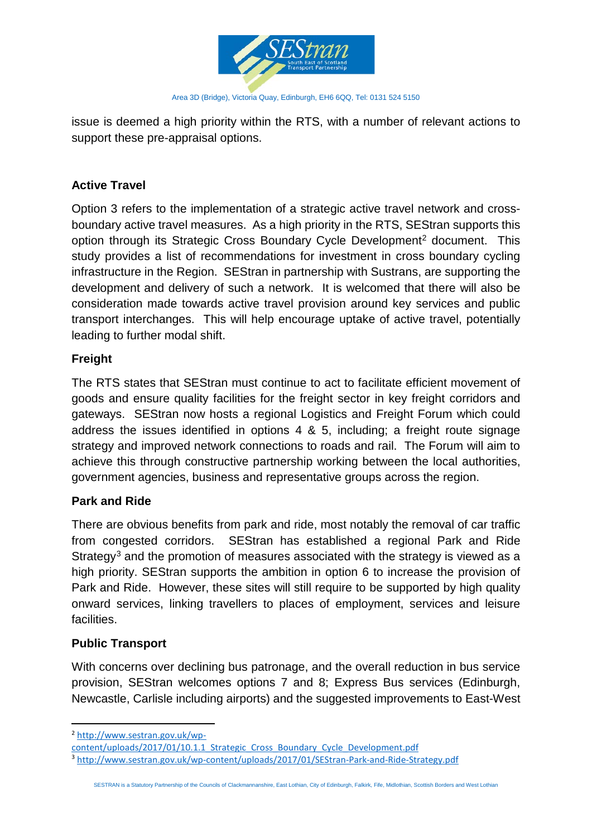

issue is deemed a high priority within the RTS, with a number of relevant actions to support these pre-appraisal options.

# **Active Travel**

Option 3 refers to the implementation of a strategic active travel network and crossboundary active travel measures. As a high priority in the RTS, SEStran supports this option through its Strategic Cross Boundary Cycle Development<sup>[2](#page-4-0)</sup> document. This study provides a list of recommendations for investment in cross boundary cycling infrastructure in the Region. SEStran in partnership with Sustrans, are supporting the development and delivery of such a network. It is welcomed that there will also be consideration made towards active travel provision around key services and public transport interchanges. This will help encourage uptake of active travel, potentially leading to further modal shift.

### **Freight**

The RTS states that SEStran must continue to act to facilitate efficient movement of goods and ensure quality facilities for the freight sector in key freight corridors and gateways. SEStran now hosts a regional Logistics and Freight Forum which could address the issues identified in options 4 & 5, including; a freight route signage strategy and improved network connections to roads and rail. The Forum will aim to achieve this through constructive partnership working between the local authorities, government agencies, business and representative groups across the region.

### **Park and Ride**

There are obvious benefits from park and ride, most notably the removal of car traffic from congested corridors. SEStran has established a regional Park and Ride Strategy<sup>[3](#page-4-1)</sup> and the promotion of measures associated with the strategy is viewed as a high priority. SEStran supports the ambition in option 6 to increase the provision of Park and Ride. However, these sites will still require to be supported by high quality onward services, linking travellers to places of employment, services and leisure facilities.

### **Public Transport**

With concerns over declining bus patronage, and the overall reduction in bus service provision, SEStran welcomes options 7 and 8; Express Bus services (Edinburgh, Newcastle, Carlisle including airports) and the suggested improvements to East-West

<span id="page-4-0"></span> <sup>2</sup> [http://www.sestran.gov.uk/wp-](http://www.sestran.gov.uk/wp-content/uploads/2017/01/10.1.1_Strategic_Cross_Boundary_Cycle_Development.pdf)

[content/uploads/2017/01/10.1.1\\_Strategic\\_Cross\\_Boundary\\_Cycle\\_Development.pdf](http://www.sestran.gov.uk/wp-content/uploads/2017/01/10.1.1_Strategic_Cross_Boundary_Cycle_Development.pdf)

<span id="page-4-1"></span><sup>3</sup> <http://www.sestran.gov.uk/wp-content/uploads/2017/01/SEStran-Park-and-Ride-Strategy.pdf>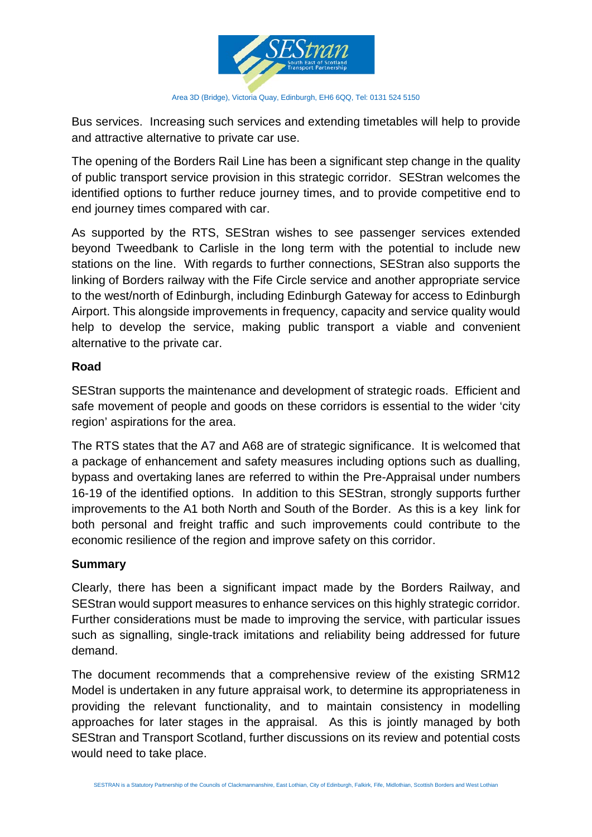

Area 3D (Bridge), Victoria Quay, Edinburgh, EH6 6QQ, Tel: 0131 524 5150

Bus services. Increasing such services and extending timetables will help to provide and attractive alternative to private car use.

The opening of the Borders Rail Line has been a significant step change in the quality of public transport service provision in this strategic corridor. SEStran welcomes the identified options to further reduce journey times, and to provide competitive end to end journey times compared with car.

As supported by the RTS, SEStran wishes to see passenger services extended beyond Tweedbank to Carlisle in the long term with the potential to include new stations on the line. With regards to further connections, SEStran also supports the linking of Borders railway with the Fife Circle service and another appropriate service to the west/north of Edinburgh, including Edinburgh Gateway for access to Edinburgh Airport. This alongside improvements in frequency, capacity and service quality would help to develop the service, making public transport a viable and convenient alternative to the private car.

#### **Road**

SEStran supports the maintenance and development of strategic roads. Efficient and safe movement of people and goods on these corridors is essential to the wider 'city region' aspirations for the area.

The RTS states that the A7 and A68 are of strategic significance. It is welcomed that a package of enhancement and safety measures including options such as dualling, bypass and overtaking lanes are referred to within the Pre-Appraisal under numbers 16-19 of the identified options. In addition to this SEStran, strongly supports further improvements to the A1 both North and South of the Border. As this is a key link for both personal and freight traffic and such improvements could contribute to the economic resilience of the region and improve safety on this corridor.

### **Summary**

Clearly, there has been a significant impact made by the Borders Railway, and SEStran would support measures to enhance services on this highly strategic corridor. Further considerations must be made to improving the service, with particular issues such as signalling, single-track imitations and reliability being addressed for future demand.

The document recommends that a comprehensive review of the existing SRM12 Model is undertaken in any future appraisal work, to determine its appropriateness in providing the relevant functionality, and to maintain consistency in modelling approaches for later stages in the appraisal. As this is jointly managed by both SEStran and Transport Scotland, further discussions on its review and potential costs would need to take place.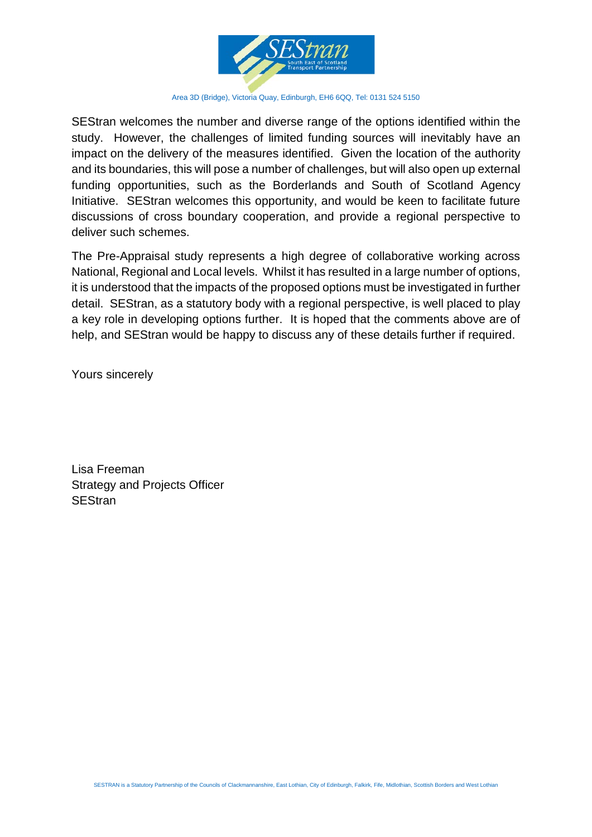

Area 3D (Bridge), Victoria Quay, Edinburgh, EH6 6QQ, Tel: 0131 524 5150

SEStran welcomes the number and diverse range of the options identified within the study. However, the challenges of limited funding sources will inevitably have an impact on the delivery of the measures identified. Given the location of the authority and its boundaries, this will pose a number of challenges, but will also open up external funding opportunities, such as the Borderlands and South of Scotland Agency Initiative. SEStran welcomes this opportunity, and would be keen to facilitate future discussions of cross boundary cooperation, and provide a regional perspective to deliver such schemes.

The Pre-Appraisal study represents a high degree of collaborative working across National, Regional and Local levels. Whilst it has resulted in a large number of options, it is understood that the impacts of the proposed options must be investigated in further detail. SEStran, as a statutory body with a regional perspective, is well placed to play a key role in developing options further. It is hoped that the comments above are of help, and SEStran would be happy to discuss any of these details further if required.

Yours sincerely

Lisa Freeman Strategy and Projects Officer **SEStran**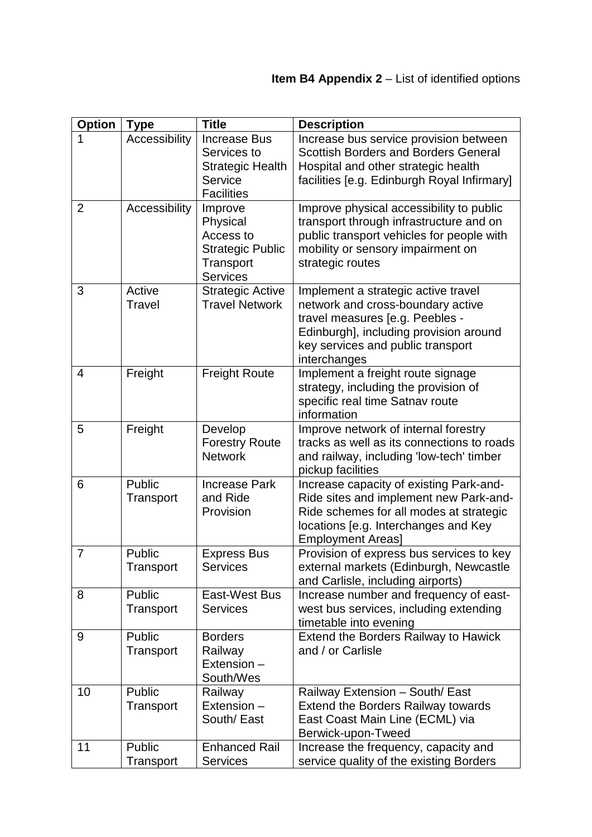| <b>Option</b>  | <b>Type</b>             | <b>Title</b>                                                                                  | <b>Description</b>                                                                                                                                                                                         |
|----------------|-------------------------|-----------------------------------------------------------------------------------------------|------------------------------------------------------------------------------------------------------------------------------------------------------------------------------------------------------------|
| 1              | Accessibility           | <b>Increase Bus</b><br>Services to<br><b>Strategic Health</b><br>Service<br><b>Facilities</b> | Increase bus service provision between<br><b>Scottish Borders and Borders General</b><br>Hospital and other strategic health<br>facilities [e.g. Edinburgh Royal Infirmary]                                |
| $\overline{2}$ | Accessibility           | Improve<br>Physical<br>Access to<br><b>Strategic Public</b><br>Transport<br><b>Services</b>   | Improve physical accessibility to public<br>transport through infrastructure and on<br>public transport vehicles for people with<br>mobility or sensory impairment on<br>strategic routes                  |
| 3              | Active<br><b>Travel</b> | <b>Strategic Active</b><br><b>Travel Network</b>                                              | Implement a strategic active travel<br>network and cross-boundary active<br>travel measures [e.g. Peebles -<br>Edinburgh], including provision around<br>key services and public transport<br>interchanges |
| 4              | Freight                 | <b>Freight Route</b>                                                                          | Implement a freight route signage<br>strategy, including the provision of<br>specific real time Satnav route<br>information                                                                                |
| 5              | Freight                 | Develop<br><b>Forestry Route</b><br><b>Network</b>                                            | Improve network of internal forestry<br>tracks as well as its connections to roads<br>and railway, including 'low-tech' timber<br>pickup facilities                                                        |
| 6              | Public<br>Transport     | <b>Increase Park</b><br>and Ride<br>Provision                                                 | Increase capacity of existing Park-and-<br>Ride sites and implement new Park-and-<br>Ride schemes for all modes at strategic<br>locations [e.g. Interchanges and Key<br><b>Employment Areas]</b>           |
| $\overline{7}$ | Public<br>Transport     | <b>Express Bus</b><br><b>Services</b>                                                         | Provision of express bus services to key<br>external markets (Edinburgh, Newcastle<br>and Carlisle, including airports)                                                                                    |
| 8              | Public<br>Transport     | East-West Bus<br><b>Services</b>                                                              | Increase number and frequency of east-<br>west bus services, including extending<br>timetable into evening                                                                                                 |
| 9              | Public<br>Transport     | <b>Borders</b><br>Railway<br>Extension -<br>South/Wes                                         | Extend the Borders Railway to Hawick<br>and / or Carlisle                                                                                                                                                  |
| 10             | Public<br>Transport     | Railway<br>Extension -<br>South/ East                                                         | Railway Extension - South/ East<br><b>Extend the Borders Railway towards</b><br>East Coast Main Line (ECML) via<br>Berwick-upon-Tweed                                                                      |
| 11             | Public<br>Transport     | <b>Enhanced Rail</b><br><b>Services</b>                                                       | Increase the frequency, capacity and<br>service quality of the existing Borders                                                                                                                            |